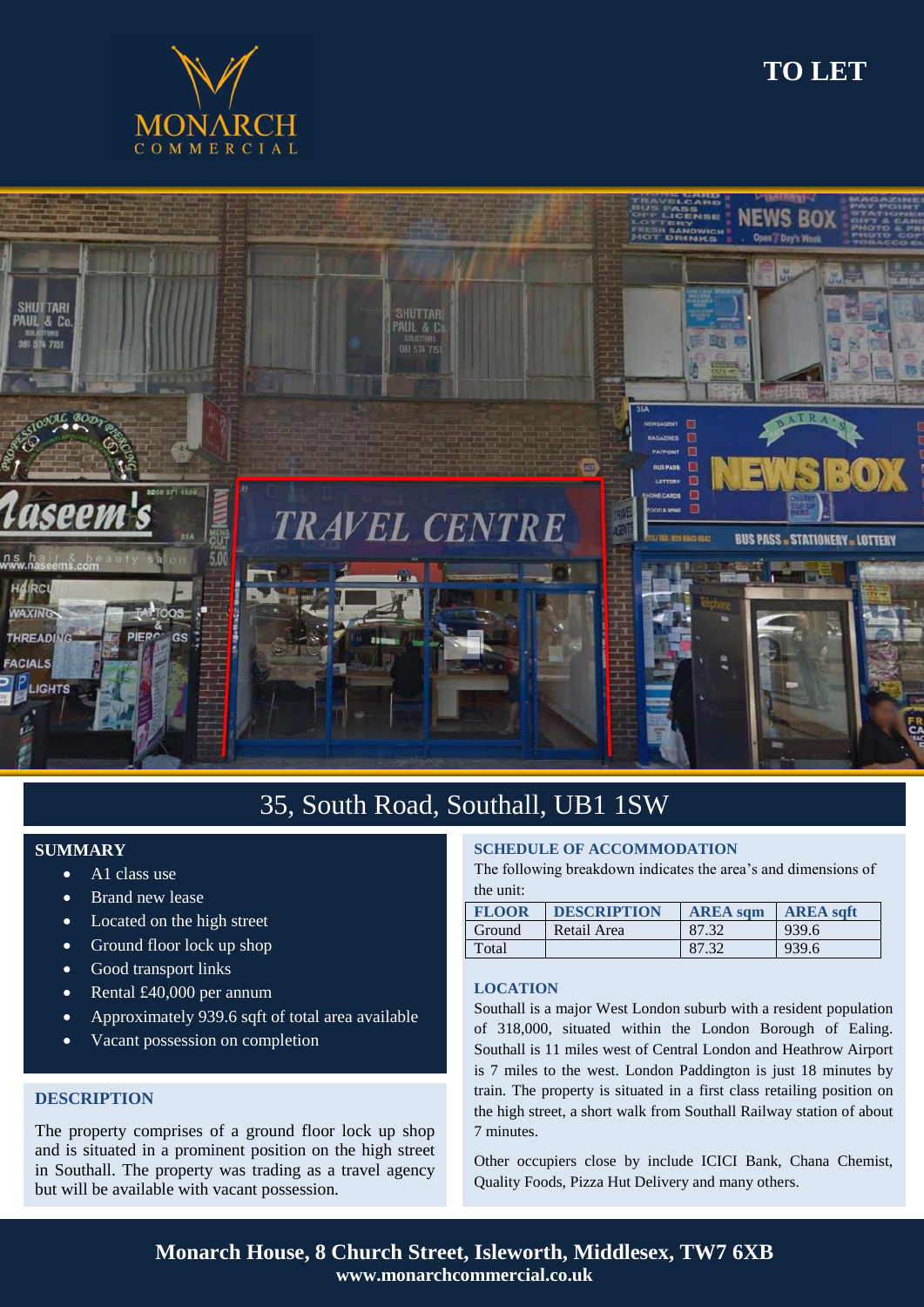

# **TO LET**



# 35, South Road, Southall, UB1 1SW

## **SUMMARY**

- A1 class use
- Brand new lease
- Located on the high street
- Ground floor lock up shop
- Good transport links
- Rental £40,000 per annum
- Approximately 939.6 sqft of total area available
- Vacant possession on completion

### **DESCRIPTION**

ī

The property comprises of a ground floor lock up shop and is situated in a prominent position on the high street in Southall. The property was trading as a travel agency but will be available with vacant possession.

### **SCHEDULE OF ACCOMMODATION**

The following breakdown indicates the area's and dimensions of the unit:

| <b>FLOOR</b> | <b>DESCRIPTION</b> | <b>AREA</b> sam | <b>AREA saft</b> |
|--------------|--------------------|-----------------|------------------|
| Ground       | Retail Area        | 87.32           | 939.6            |
| Total        |                    | 87.32           | 939.6            |

#### **LOCATION**

Southall is a major West London suburb with a resident population of 318,000, situated within the London Borough of Ealing. Southall is 11 miles west of Central London and Heathrow Airport is 7 miles to the west. London Paddington is just 18 minutes by train. The property is situated in a first class retailing position on the high street, a short walk from Southall Railway station of about 7 minutes.

Other occupiers close by include ICICI Bank, Chana Chemist, Quality Foods, Pizza Hut Delivery and many others.